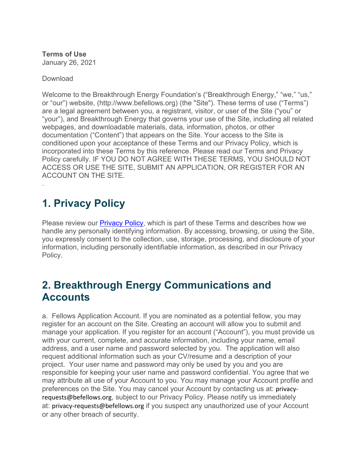**Terms of Use** January 26, 2021

Download

.

Welcome to the Breakthrough Energy Foundation's ("Breakthrough Energy," "we," "us," or "our") website, (http://www.befellows.org) (the "Site"). These terms of use ("Terms") are a legal agreement between you, a registrant, visitor, or user of the Site ("you" or "your"), and Breakthrough Energy that governs your use of the Site, including all related webpages, and downloadable materials, data, information, photos, or other documentation ("Content") that appears on the Site. Your access to the Site is conditioned upon your acceptance of these Terms and our Privacy Policy, which is incorporated into these Terms by this reference. Please read our Terms and Privacy Policy carefully. IF YOU DO NOT AGREE WITH THESE TERMS, YOU SHOULD NOT ACCESS OR USE THE SITE, SUBMIT AN APPLICATION, OR REGISTER FOR AN ACCOUNT ON THE SITE.

# **1. Privacy Policy**

Please review our **Privacy Policy**, which is part of these Terms and describes how we handle any personally identifying information. By accessing, browsing, or using the Site, you expressly consent to the collection, use, storage, processing, and disclosure of your information, including personally identifiable information, as described in our Privacy Policy.

# **2. Breakthrough Energy Communications and Accounts**

a. Fellows Application Account. If you are nominated as a potential fellow, you may register for an account on the Site. Creating an account will allow you to submit and manage your application. If you register for an account ("Account"), you must provide us with your current, complete, and accurate information, including your name, email address, and a user name and password selected by you. The application will also request additional information such as your CV/resume and a description of your project.Your user name and password may only be used by you and you are responsible for keeping your user name and password confidential. You agree that we may attribute all use of your Account to you. You may manage your Account profile and preferences on the Site. You may cancel your Account by contacting us at: privacyrequests@befellows.org, subject to our Privacy Policy. Please notify us immediately at: privacy-requests@befellows.org if you suspect any unauthorized use of your Account or any other breach of security.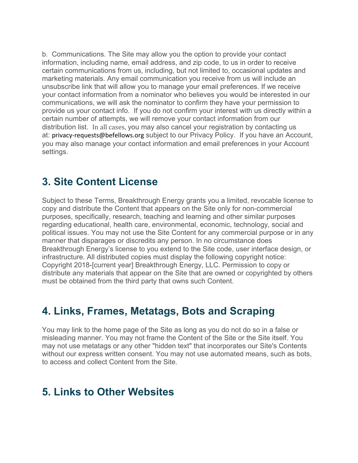b. Communications. The Site may allow you the option to provide your contact information, including name, email address, and zip code, to us in order to receive certain communications from us, including, but not limited to, occasional updates and marketing materials. Any email communication you receive from us will include an unsubscribe link that will allow you to manage your email preferences. If we receive your contact information from a nominator who believes you would be interested in our communications, we will ask the nominator to confirm they have your permission to provide us your contact info. If you do not confirm your interest with us directly within a certain number of attempts, we will remove your contact information from our distribution list. In all cases, you may also cancel your registration by contacting us at: privacy-requests@befellows.org subject to our Privacy Policy. If you have an Account, you may also manage your contact information and email preferences in your Account settings.

### **3. Site Content License**

Subject to these Terms, Breakthrough Energy grants you a limited, revocable license to copy and distribute the Content that appears on the Site only for non-commercial purposes, specifically, research, teaching and learning and other similar purposes regarding educational, health care, environmental, economic, technology, social and political issues. You may not use the Site Content for any commercial purpose or in any manner that disparages or discredits any person. In no circumstance does Breakthrough Energy's license to you extend to the Site code, user interface design, or infrastructure. All distributed copies must display the following copyright notice: Copyright 2018-[current year] Breakthrough Energy, LLC. Permission to copy or distribute any materials that appear on the Site that are owned or copyrighted by others must be obtained from the third party that owns such Content.

# **4. Links, Frames, Metatags, Bots and Scraping**

You may link to the home page of the Site as long as you do not do so in a false or misleading manner. You may not frame the Content of the Site or the Site itself. You may not use metatags or any other "hidden text" that incorporates our Site's Contents without our express written consent. You may not use automated means, such as bots, to access and collect Content from the Site.

### **5. Links to Other Websites**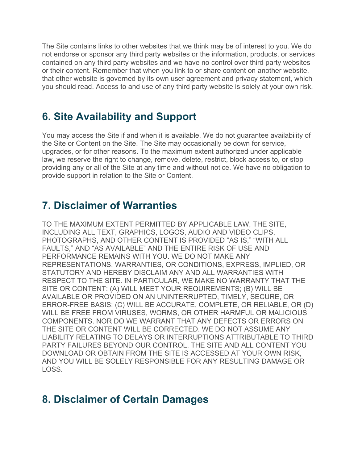The Site contains links to other websites that we think may be of interest to you. We do not endorse or sponsor any third party websites or the information, products, or services contained on any third party websites and we have no control over third party websites or their content. Remember that when you link to or share content on another website, that other website is governed by its own user agreement and privacy statement, which you should read. Access to and use of any third party website is solely at your own risk.

# **6. Site Availability and Support**

You may access the Site if and when it is available. We do not guarantee availability of the Site or Content on the Site. The Site may occasionally be down for service, upgrades, or for other reasons. To the maximum extent authorized under applicable law, we reserve the right to change, remove, delete, restrict, block access to, or stop providing any or all of the Site at any time and without notice. We have no obligation to provide support in relation to the Site or Content.

### **7. Disclaimer of Warranties**

TO THE MAXIMUM EXTENT PERMITTED BY APPLICABLE LAW, THE SITE, INCLUDING ALL TEXT, GRAPHICS, LOGOS, AUDIO AND VIDEO CLIPS, PHOTOGRAPHS, AND OTHER CONTENT IS PROVIDED "AS IS," "WITH ALL FAULTS," AND "AS AVAILABLE" AND THE ENTIRE RISK OF USE AND PERFORMANCE REMAINS WITH YOU. WE DO NOT MAKE ANY REPRESENTATIONS, WARRANTIES, OR CONDITIONS, EXPRESS, IMPLIED, OR STATUTORY AND HEREBY DISCLAIM ANY AND ALL WARRANTIES WITH RESPECT TO THE SITE. IN PARTICULAR, WE MAKE NO WARRANTY THAT THE SITE OR CONTENT: (A) WILL MEET YOUR REQUIREMENTS; (B) WILL BE AVAILABLE OR PROVIDED ON AN UNINTERRUPTED, TIMELY, SECURE, OR ERROR-FREE BASIS; (C) WILL BE ACCURATE, COMPLETE, OR RELIABLE, OR (D) WILL BE FREE FROM VIRUSES, WORMS, OR OTHER HARMFUL OR MALICIOUS COMPONENTS. NOR DO WE WARRANT THAT ANY DEFECTS OR ERRORS ON THE SITE OR CONTENT WILL BE CORRECTED. WE DO NOT ASSUME ANY LIABILITY RELATING TO DELAYS OR INTERRUPTIONS ATTRIBUTABLE TO THIRD PARTY FAILURES BEYOND OUR CONTROL. THE SITE AND ALL CONTENT YOU DOWNLOAD OR OBTAIN FROM THE SITE IS ACCESSED AT YOUR OWN RISK, AND YOU WILL BE SOLELY RESPONSIBLE FOR ANY RESULTING DAMAGE OR LOSS.

### **8. Disclaimer of Certain Damages**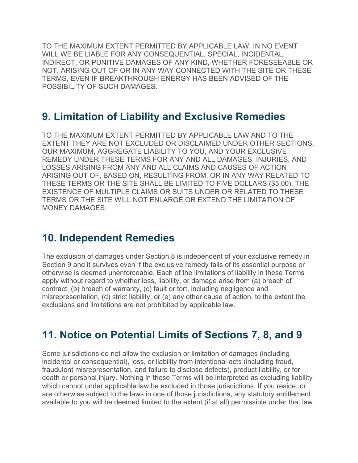TO THE MAXIMUM EXTENT PERMITTED BY APPLICABLE LAW, IN NO EVENT WILL WE BE LIABLE FOR ANY CONSEQUENTIAL, SPECIAL, INCIDENTAL, INDIRECT, OR PUNITIVE DAMAGES OF ANY KIND, WHETHER FORESEEABLE OR NOT, ARISING OUT OF OR IN ANY WAY CONNECTED WITH THE SITE OR THESE TERMS, EVEN IF BREAKTHROUGH ENERGY HAS BEEN ADVISED OF THE POSSIBILITY OF SUCH DAMAGES.

## **9. Limitation of Liability and Exclusive Remedies**

TO THE MAXIMUM EXTENT PERMITTED BY APPLICABLE LAW AND TO THE EXTENT THEY ARE NOT EXCLUDED OR DISCLAIMED UNDER OTHER SECTIONS, OUR MAXIMUM, AGGREGATE LIABILITY TO YOU, AND YOUR EXCLUSIVE REMEDY UNDER THESE TERMS FOR ANY AND ALL DAMAGES, INJURIES, AND LOSSES ARISING FROM ANY AND ALL CLAIMS AND CAUSES OF ACTION ARISING OUT OF, BASED ON, RESULTING FROM, OR IN ANY WAY RELATED TO THESE TERMS OR THE SITE SHALL BE LIMITED TO FIVE DOLLARS (\$5.00). THE EXISTENCE OF MULTIPLE CLAIMS OR SUITS UNDER OR RELATED TO THESE TERMS OR THE SITE WILL NOT ENLARGE OR EXTEND THE LIMITATION OF MONEY DAMAGES.

#### **10. Independent Remedies**

The exclusion of damages under Section 8 is independent of your exclusive remedy in Section 9 and it survives even if the exclusive remedy fails of its essential purpose or otherwise is deemed unenforceable. Each of the limitations of liability in these Terms apply without regard to whether loss, liability, or damage arise from (a) breach of contract, (b) breach of warranty, (c) fault or tort, including negligence and misrepresentation, (d) strict liability, or (e) any other cause of action, to the extent the exclusions and limitations are not prohibited by applicable law.

# **11. Notice on Potential Limits of Sections 7, 8, and 9**

Some jurisdictions do not allow the exclusion or limitation of damages (including incidental or consequential), loss, or liability from intentional acts (including fraud, fraudulent misrepresentation, and failure to disclose defects), product liability, or for death or personal injury. Nothing in these Terms will be interpreted as excluding liability which cannot under applicable law be excluded in those jurisdictions. If you reside, or are otherwise subject to the laws in one of those jurisdictions, any statutory entitlement available to you will be deemed limited to the extent (if at all) permissible under that law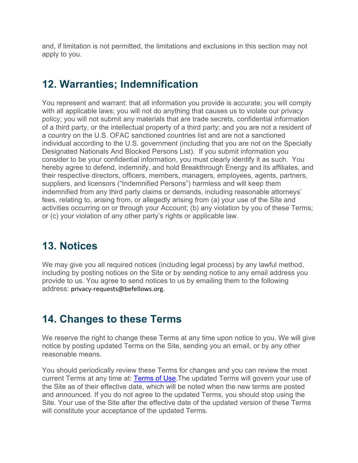and, if limitation is not permitted, the limitations and exclusions in this section may not apply to you.

# **12. Warranties; Indemnification**

You represent and warrant: that all information you provide is accurate; you will comply with all applicable laws; you will not do anything that causes us to violate our privacy policy; you will not submit any materials that are trade secrets, confidential information of a third party, or the intellectual property of a third party; and you are not a resident of a country on the U.S. OFAC sanctioned countries list and are not a sanctioned individual according to the U.S. government (including that you are not on the Specially Designated Nationals And Blocked Persons List). If you submit information you consider to be your confidential information, you must clearly identify it as such. You hereby agree to defend, indemnify, and hold Breakthrough Energy and its affiliates, and their respective directors, officers, members, managers, employees, agents, partners, suppliers, and licensors ("Indemnified Persons") harmless and will keep them indemnified from any third party claims or demands, including reasonable attorneys' fees, relating to, arising from, or allegedly arising from (a) your use of the Site and activities occurring on or through your Account; (b) any violation by you of these Terms; or (c) your violation of any other party's rights or applicable law.

# **13. Notices**

We may give you all required notices (including legal process) by any lawful method, including by posting notices on the Site or by sending notice to any email address you provide to us. You agree to send notices to us by emailing them to the following address: privacy-requests@befellows.org.

# **14. Changes to these Terms**

We reserve the right to change these Terms at any time upon notice to you. We will give notice by posting updated Terms on the Site, sending you an email, or by any other reasonable means.

You should periodically review these Terms for changes and you can review the most current Terms at any time at: [Terms of Use.](https://portal.befellows.org/terms/)The updated Terms will govern your use of the Site as of their effective date, which will be noted when the new terms are posted and announced. If you do not agree to the updated Terms, you should stop using the Site. Your use of the Site after the effective date of the updated version of these Terms will constitute your acceptance of the updated Terms.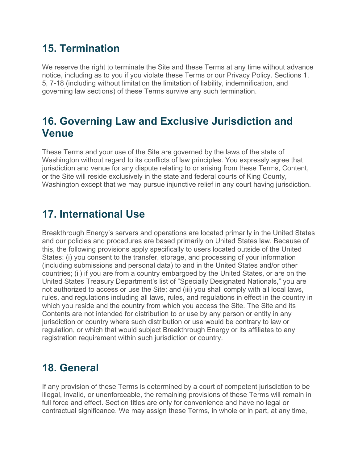# **15. Termination**

We reserve the right to terminate the Site and these Terms at any time without advance notice, including as to you if you violate these Terms or our Privacy Policy. Sections 1, 5, 7-18 (including without limitation the limitation of liability, indemnification, and governing law sections) of these Terms survive any such termination.

### **16. Governing Law and Exclusive Jurisdiction and Venue**

These Terms and your use of the Site are governed by the laws of the state of Washington without regard to its conflicts of law principles. You expressly agree that jurisdiction and venue for any dispute relating to or arising from these Terms, Content, or the Site will reside exclusively in the state and federal courts of King County, Washington except that we may pursue injunctive relief in any court having jurisdiction.

# **17. International Use**

Breakthrough Energy's servers and operations are located primarily in the United States and our policies and procedures are based primarily on United States law. Because of this, the following provisions apply specifically to users located outside of the United States: (i) you consent to the transfer, storage, and processing of your information (including submissions and personal data) to and in the United States and/or other countries; (ii) if you are from a country embargoed by the United States, or are on the United States Treasury Department's list of "Specially Designated Nationals," you are not authorized to access or use the Site; and (iii) you shall comply with all local laws, rules, and regulations including all laws, rules, and regulations in effect in the country in which you reside and the country from which you access the Site. The Site and its Contents are not intended for distribution to or use by any person or entity in any jurisdiction or country where such distribution or use would be contrary to law or regulation, or which that would subject Breakthrough Energy or its affiliates to any registration requirement within such jurisdiction or country.

### **18. General**

If any provision of these Terms is determined by a court of competent jurisdiction to be illegal, invalid, or unenforceable, the remaining provisions of these Terms will remain in full force and effect. Section titles are only for convenience and have no legal or contractual significance. We may assign these Terms, in whole or in part, at any time,